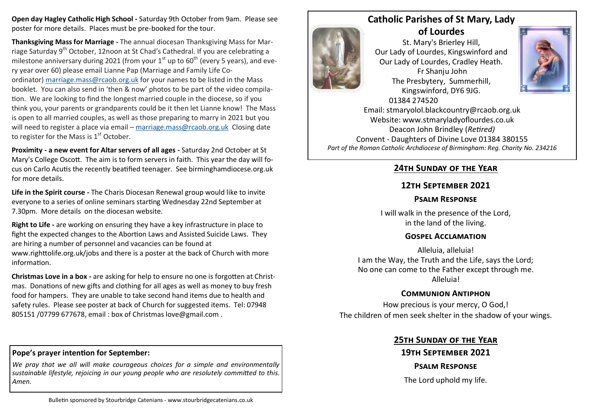**Open day Hagley Catholic High School -** Saturday 9th October from 9am. Please see poster for more details. Places must be pre-booked for the tour.

. think you, your parents or grandparents could be it then let Lianne know! The Mass **Thanksgiving Mass for Marriage -** The annual diocesan Thanksgiving Mass for Marriage Saturday 9th October, 12noon at St Chad's Cathedral. If you are celebrating a milestone anniversary during 2021 (from your  $1<sup>st</sup>$  up to 60<sup>th</sup> (every 5 years), and every year over 60) please email Lianne Pap (Marriage and Family Life Coordinator) [marriage.mass@rcaob.org.uk](mailto:marriage.mass@rcaob.org.uk) for your names to be listed in the Mass booklet. You can also send in 'then & now' photos to be part of the video compilation. We are looking to find the longest married couple in the diocese, so if you is open to all married couples, as well as those preparing to marry in 2021 but you will need to register a place via email – [marriage.mass@rcaob.org.uk](mailto:marriage.mass@rcaob.org.uk) Closing date to register for the Mass is  $1<sup>st</sup>$  October.

**Proximity - a new event for Altar servers of all ages -** Saturday 2nd October at St Mary's College Oscott. The aim is to form servers in faith. This year the day will focus on Carlo Acutis the recently beatified teenager. See birminghamdiocese.org.uk for more details.

**Life in the Spirit course -** The Charis Diocesan Renewal group would like to invite everyone to a series of online seminars starting Wednesday 22nd September at 7.30pm. More details on the diocesan website.

**Right to Life -** are working on ensuring they have a key infrastructure in place to fight the expected changes to the Abortion Laws and Assisted Suicide Laws. They are hiring a number of personnel and vacancies can be found at www.righttolife.org.uk/jobs and there is a poster at the back of Church with more information.

**Christmas Love in a box -** are asking for help to ensure no one is forgotten at Christmas. Donations of new gifts and clothing for all ages as well as money to buy fresh food for hampers. They are unable to take second hand items due to health and safety rules. Please see poster at back of Church for suggested items. Tel: 07948 805151 /07799 677678, email : box of Christmas love@gmail.com .

#### **Pope's prayer intention for September:**

*We pray that we all will make courageous choices for a simple and environmentally sustainable lifestyle, rejoicing in our young people who are resolutely committed to this. Amen.*



St. Mary's Brierley Hill, Our Lady of Lourdes, Kingswinford and Our Lady of Lourdes, Cradley Heath. Fr Shanju John The Presbytery, Summerhill, Kingswinford, DY6 9JG. 01384 274520



Email: stmaryolol.blackcountry@rcaob.org.uk Website: www.stmaryladyoflourdes.co.uk Deacon John Brindley (*Retired)* Convent - Daughters of Divine Love 01384 380155 *Part of the Roman Catholic Archdiocese of Birmingham: Reg. Charity No. 234216*

## **24th Sunday of the Year**

## **12th September 2021**

### **Psalm Response**

I will walk in the presence of the Lord, in the land of the living.

#### **Gospel Acclamation**

Alleluia, alleluia! I am the Way, the Truth and the Life, says the Lord; No one can come to the Father except through me. Alleluia!

## **Communion Antiphon**

How precious is your mercy, O God,! The children of men seek shelter in the shadow of your wings.

## **25th Sunday of the Year**

# **19th September 2021**

#### **Psalm Response**

The Lord uphold my life.